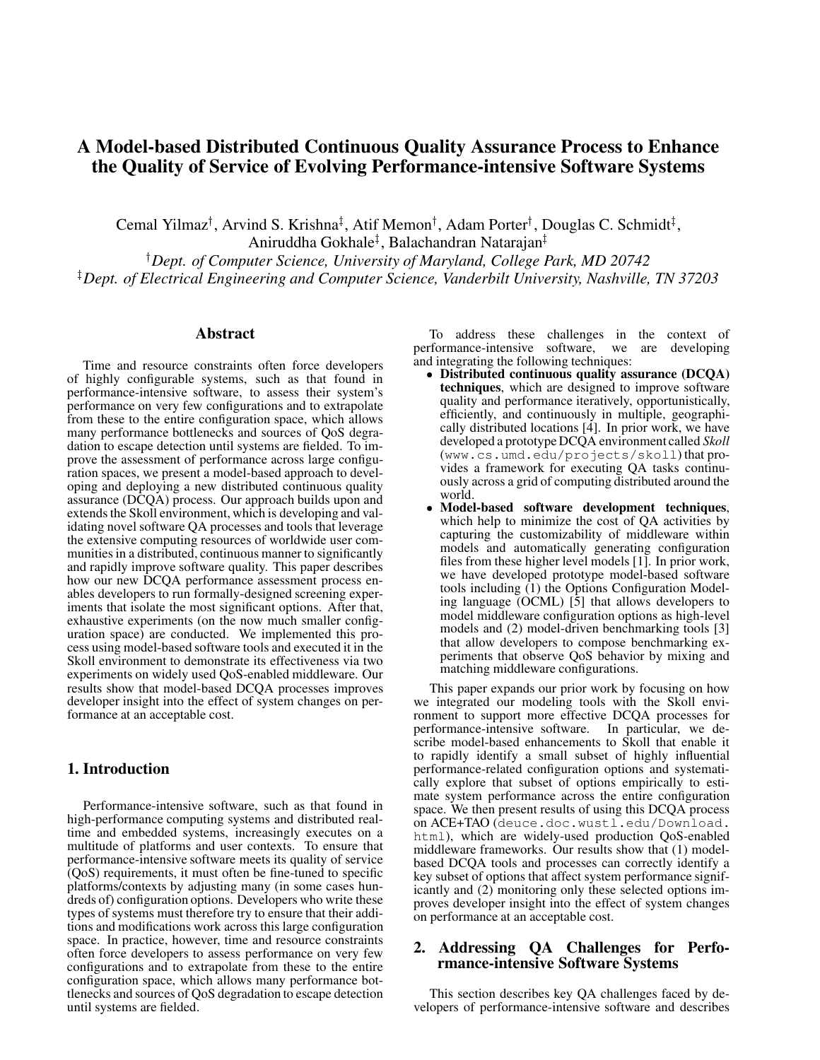# **A Model-based Distributed Continuous Quality Assurance Process to Enhance the Quality of Service of Evolving Performance-intensive Software Systems**

Cemal Yilmaz<sup>†</sup>, Arvind S. Krishna<sup>‡</sup>, Atif Memon<sup>†</sup>, Adam Porter<sup>†</sup>, Douglas C. Schmidt<sup>‡</sup>,

Aniruddha Gokhale<sup>‡</sup>, Balachandran Natarajan<sup>‡</sup> *Dept. of Computer Science, University of Maryland, College Park, MD 20742 Dept. of Electrical Engineering and Computer Science, Vanderbilt University, Nashville, TN 37203*

#### **Abstract**

Time and resource constraints often force developers of highly configurable systems, such as that found in performance-intensive software, to assess their system's performance on very few configurations and to extrapolate from these to the entire configuration space, which allows many performance bottlenecks and sources of QoS degradation to escape detection until systems are fielded. To improve the assessment of performance across large configuration spaces, we present a model-based approach to developing and deploying a new distributed continuous quality assurance (DCQA) process. Our approach builds upon and extends the Skoll environment, which is developing and validating novel software QA processes and tools that leverage the extensive computing resources of worldwide user communities in a distributed, continuous manner to significantly and rapidly improve software quality. This paper describes how our new DCQA performance assessment process enables developers to run formally-designed screening experiments that isolate the most significant options. After that, exhaustive experiments (on the now much smaller configuration space) are conducted. We implemented this process using model-based software tools and executed it in the Skoll environment to demonstrate its effectiveness via two experiments on widely used QoS-enabled middleware. Our results show that model-based DCQA processes improves developer insight into the effect of system changes on performance at an acceptable cost.

## **1. Introduction**

Performance-intensive software, such as that found in high-performance computing systems and distributed realtime and embedded systems, increasingly executes on a multitude of platforms and user contexts. To ensure that performance-intensive software meets its quality of service (QoS) requirements, it must often be fine-tuned to specific platforms/contexts by adjusting many (in some cases hundreds of) configuration options. Developers who write these types of systems must therefore try to ensure that their additions and modifications work across this large configuration space. In practice, however, time and resource constraints often force developers to assess performance on very few configurations and to extrapolate from these to the entire configuration space, which allows many performance bottlenecks and sources of QoS degradation to escape detection until systems are fielded.

To address these challenges in the context of performance-intensive software, we are developing and integrating the following techniques:

- **Distributed continuous quality assurance (DCQA) techniques**, which are designed to improve software quality and performance iteratively, opportunistically, efficiently, and continuously in multiple, geographically distributed locations [4]. In prior work, we have developed a prototype DCQA environment called *Skoll* (www.cs.umd.edu/projects/skoll) that provides a framework for executing QA tasks continuously across a grid of computing distributed around the world.
- **Model-based software development techniques**, which help to minimize the cost of QA activities by capturing the customizability of middleware within models and automatically generating configuration files from these higher level models [1]. In prior work, we have developed prototype model-based software tools including (1) the Options Configuration Modeling language (OCML) [5] that allows developers to model middleware configuration options as high-level models and (2) model-driven benchmarking tools [3] that allow developers to compose benchmarking experiments that observe QoS behavior by mixing and matching middleware configurations.

This paper expands our prior work by focusing on how we integrated our modeling tools with the Skoll environment to support more effective DCQA processes for performance-intensive software. In particular, we describe model-based enhancements to Skoll that enable it to rapidly identify a small subset of highly influential performance-related configuration options and systematically explore that subset of options empirically to estimate system performance across the entire configuration space. We then present results of using this DCQA process on ACE+TAO (deuce.doc.wustl.edu/Download. html), which are widely-used production QoS-enabled middleware frameworks. Our results show that (1) modelbased DCQA tools and processes can correctly identify a key subset of options that affect system performance significantly and (2) monitoring only these selected options improves developer insight into the effect of system changes on performance at an acceptable cost.

## **2. Addressing QA Challenges for Performance-intensive Software Systems**

This section describes key QA challenges faced by developers of performance-intensive software and describes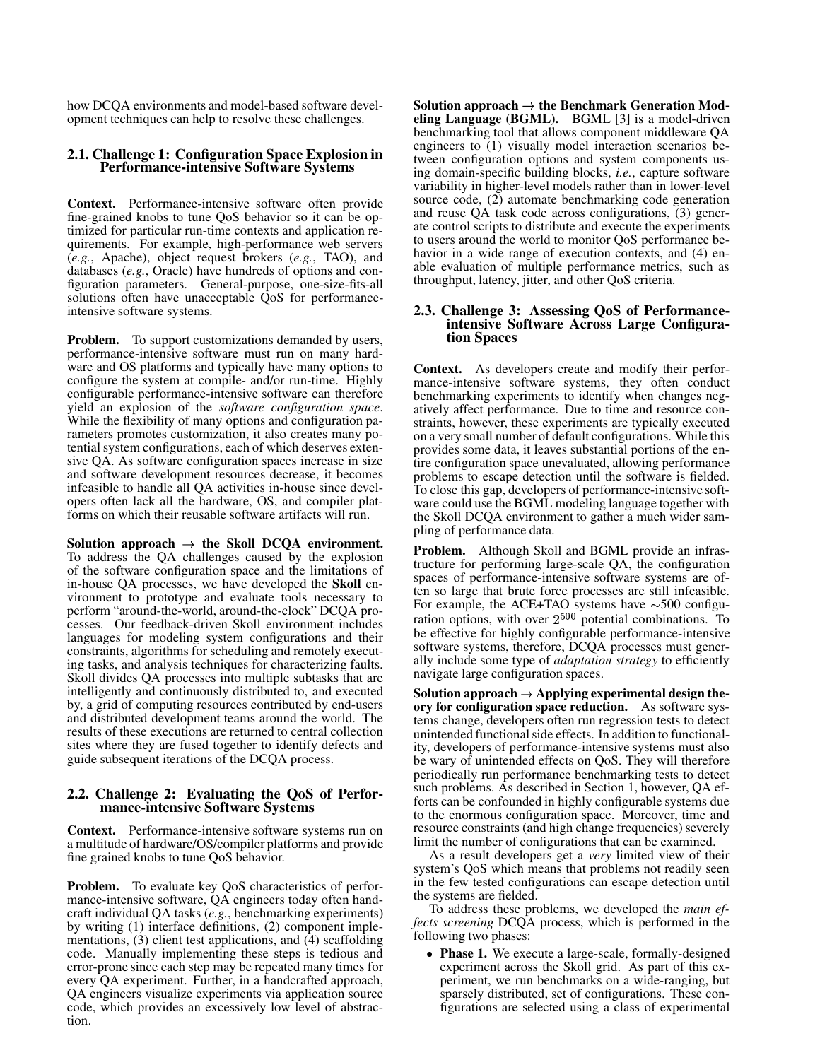how DCQA environments and model-based software development techniques can help to resolve these challenges.

#### **2.1. Challenge 1: Configuration Space Explosion in Performance-intensive Software Systems**

**Context.** Performance-intensive software often provide fine-grained knobs to tune QoS behavior so it can be optimized for particular run-time contexts and application requirements. For example, high-performance web servers (*e.g.*, Apache), object request brokers (*e.g.*, TAO), and databases (*e.g.*, Oracle) have hundreds of options and configuration parameters. General-purpose, one-size-fits-all solutions often have unacceptable QoS for performanceintensive software systems.

**Problem.** To support customizations demanded by users, performance-intensive software must run on many hardware and OS platforms and typically have many options to configure the system at compile- and/or run-time. Highly configurable performance-intensive software can therefore yield an explosion of the *software configuration space*. While the flexibility of many options and configuration parameters promotes customization, it also creates many potential system configurations, each of which deserves extensive QA. As software configuration spaces increase in size and software development resources decrease, it becomes infeasible to handle all QA activities in-house since developers often lack all the hardware, OS, and compiler platforms on which their reusable software artifacts will run.

**Solution approach**  $\rightarrow$  **the Skoll DCQA environment.** To address the QA challenges caused by the explosion of the software configuration space and the limitations of in-house QA processes, we have developed the **Skoll** environment to prototype and evaluate tools necessary to perform "around-the-world, around-the-clock" DCQA processes. Our feedback-driven Skoll environment includes languages for modeling system configurations and their constraints, algorithms for scheduling and remotely executing tasks, and analysis techniques for characterizing faults. Skoll divides QA processes into multiple subtasks that are intelligently and continuously distributed to, and executed by, a grid of computing resources contributed by end-users and distributed development teams around the world. The results of these executions are returned to central collection sites where they are fused together to identify defects and guide subsequent iterations of the DCQA process.

#### **2.2. Challenge 2: Evaluating the QoS of Performance-intensive Software Systems**

**Context.** Performance-intensive software systems run on a multitude of hardware/OS/compiler platforms and provide fine grained knobs to tune QoS behavior.

**Problem.** To evaluate key QoS characteristics of performance-intensive software, QA engineers today often handcraft individual QA tasks (*e.g.*, benchmarking experiments) by writing (1) interface definitions, (2) component implementations,  $(3)$  client test applications, and  $(4)$  scaffolding code. Manually implementing these steps is tedious and error-prone since each step may be repeated many times for every QA experiment. Further, in a handcrafted approach, QA engineers visualize experiments via application source code, which provides an excessively low level of abstraction.

**Solution approach**  $\rightarrow$  **the Benchmark Generation Modeling Language (BGML).** BGML [3] is a model-driven benchmarking tool that allows component middleware QA engineers to (1) visually model interaction scenarios between configuration options and system components using domain-specific building blocks, *i.e.*, capture software variability in higher-level models rather than in lower-level source code, (2) automate benchmarking code generation and reuse QA task code across configurations, (3) generate control scripts to distribute and execute the experiments to users around the world to monitor QoS performance behavior in a wide range of execution contexts, and  $(4)$  enable evaluation of multiple performance metrics, such as throughput, latency, jitter, and other QoS criteria.

#### **2.3. Challenge 3: Assessing QoS of Performanceintensive Software Across Large Configuration Spaces**

**Context.** As developers create and modify their performance-intensive software systems, they often conduct benchmarking experiments to identify when changes negatively affect performance. Due to time and resource constraints, however, these experiments are typically executed on a very small number of default configurations. While this provides some data, it leaves substantial portions of the entire configuration space unevaluated, allowing performance problems to escape detection until the software is fielded. To close this gap, developers of performance-intensive software could use the BGML modeling language together with the Skoll DCQA environment to gather a much wider sampling of performance data.

**Problem.** Although Skoll and BGML provide an infrastructure for performing large-scale QA, the configuration spaces of performance-intensive software systems are often so large that brute force processes are still infeasible. For example, the ACE+TAO systems have  $\sim$  500 configuration options, with over  $2^{500}$  potential combinations. To be effective for highly configurable performance-intensive software systems, therefore, DCQA processes must generally include some type of *adaptation strategy* to efficiently navigate large configuration spaces.

**Solution** approach  $\rightarrow$  Applying experimental design the**ory for configuration space reduction.** As software systems change, developers often run regression tests to detect unintended functionalside effects. In addition to functionality, developers of performance-intensive systems must also be wary of unintended effects on QoS. They will therefore periodically run performance benchmarking tests to detect such problems. As described in Section 1, however, QA efforts can be confounded in highly configurable systems due to the enormous configuration space. Moreover, time and resource constraints (and high change frequencies) severely limit the number of configurations that can be examined.

As a result developers get a *very* limited view of their system's QoS which means that problems not readily seen in the few tested configurations can escape detection until the systems are fielded.

To address these problems, we developed the *main effects screening* DCQA process, which is performed in the following two phases:

- **Phase 1.** We execute a large-scale, formally-designed experiment across the Skoll grid. As part of this experiment, we run benchmarks on a wide-ranging, but sparsely distributed, set of configurations. These configurations are selected using a class of experimental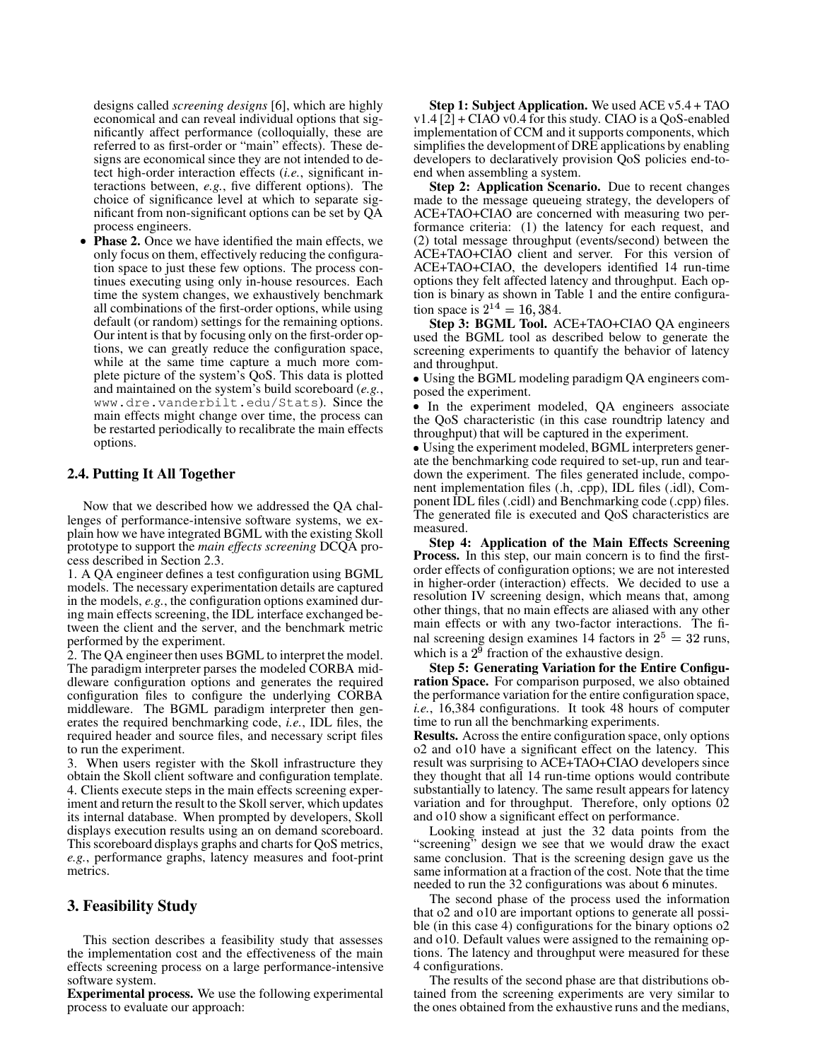designs called *screening designs* [6], which are highly economical and can reveal individual options that significantly affect performance (colloquially, these are referred to as first-order or "main" effects). These designs are economical since they are not intended to detect high-order interaction effects (*i.e.*, significant interactions between, *e.g.*, five different options). The choice of significance level at which to separate significant from non-significant options can be set by QA process engineers.

- **Phase 2.** Once we have identified the main effects, we only focus on them, effectively reducing the configuration space to just these few options. The process continues executing using only in-house resources. Each time the system changes, we exhaustively benchmark all combinations of the first-order options, while using default (or random) settings for the remaining options. Our intent is that by focusing only on the first-order options, we can greatly reduce the configuration space, while at the same time capture a much more complete picture of the system's QoS. This data is plotted and maintained on the system's build scoreboard (*e.g.*, www.dre.vanderbilt.edu/Stats). Since the main effects might change over time, the process can be restarted periodically to recalibrate the main effects options.

#### **2.4. Putting It All Together**

Now that we described how we addressed the QA challenges of performance-intensive software systems, we explain how we have integrated BGML with the existing Skoll prototype to support the *main effects screening* DCQA process described in Section 2.3.

1. A QA engineer defines a test configuration using BGML models. The necessary experimentation details are captured in the models, *e.g.*, the configuration options examined during main effects screening, the IDL interface exchanged between the client and the server, and the benchmark metric performed by the experiment.

2. The QA engineer then uses BGML to interpret the model. The paradigm interpreter parses the modeled CORBA middleware configuration options and generates the required configuration files to configure the underlying CORBA middleware. The BGML paradigm interpreter then generates the required benchmarking code, *i.e.*, IDL files, the required header and source files, and necessary script files to run the experiment.

3. When users register with the Skoll infrastructure they obtain the Skoll client software and configuration template. 4. Clients execute steps in the main effects screening experiment and return the result to the Skoll server, which updates its internal database. When prompted by developers, Skoll displays execution results using an on demand scoreboard. This scoreboard displays graphs and charts for QoS metrics, *e.g.*, performance graphs, latency measures and foot-print metrics.

## **3. Feasibility Study**

This section describes a feasibility study that assesses the implementation cost and the effectiveness of the main effects screening process on a large performance-intensive software system.

**Experimental process.** We use the following experimental process to evaluate our approach:

**Step 1: Subject Application.** We used ACE v5.4 + TAO  $v1.4$  [ $2$ ] + CIAO v0.4 for this study. CIAO is a QoS-enabled implementation of CCM and it supports components, which simplifies the development of DRE applications by enabling developers to declaratively provision QoS policies end-toend when assembling a system.

**Step 2: Application Scenario.** Due to recent changes made to the message queueing strategy, the developers of ACE+TAO+CIAO are concerned with measuring two performance criteria: (1) the latency for each request, and (2) total message throughput (events/second) between the ACE+TAO+CIAO client and server. For this version of ACE+TAO+CIAO, the developers identified 14 run-time options they felt affected latency and throughput. Each option is binary as shown in Table 1 and the entire configuration space is  $2^{14} = 16,384$ .

**Step 3: BGML Tool.** ACE+TAO+CIAO QA engineers used the BGML tool as described below to generate the screening experiments to quantify the behavior of latency and throughput.

- Using the BGML modeling paradigm QA engineers composed the experiment.

- In the experiment modeled, QA engineers associate the QoS characteristic (in this case roundtrip latency and throughput) that will be captured in the experiment.

- Using the experiment modeled, BGML interpreters generate the benchmarking code required to set-up, run and teardown the experiment. The files generated include, component implementation files (.h, .cpp), IDL files (.idl), Component IDL files (.cidl) and Benchmarking code (.cpp) files. The generated file is executed and QoS characteristics are measured.

**Step 4: Application of the Main Effects Screening Process.** In this step, our main concern is to find the firstorder effects of configuration options; we are not interested in higher-order (interaction) effects. We decided to use a resolution IV screening design, which means that, among other things, that no main effects are aliased with any other main effects or with any two-factor interactions. The final screening design examines 14 factors in  $2^5 = 32$  runs, which is a  $2<sup>9</sup>$  fraction of the exhaustive design.

**Step 5: Generating Variation for the Entire Configuration Space.** For comparison purposed, we also obtained the performance variation for the entire configuration space, *i.e.*, 16,384 configurations. It took 48 hours of computer time to run all the benchmarking experiments.

**Results.** Across the entire configuration space, only options o2 and o10 have a significant effect on the latency. This result was surprising to ACE+TAO+CIAO developers since they thought that all 14 run-time options would contribute substantially to latency. The same result appears for latency variation and for throughput. Therefore, only options 02 and o10 show a significant effect on performance.

Looking instead at just the 32 data points from the "screening" design we see that we would draw the exact same conclusion. That is the screening design gave us the same information at a fraction of the cost. Note that the time needed to run the 32 configurations was about 6 minutes.

The second phase of the process used the information that o2 and o10 are important options to generate all possible (in this case 4) configurations for the binary options o2 and o10. Default values were assigned to the remaining options. The latency and throughput were measured for these 4 configurations.

The results of the second phase are that distributions obtained from the screening experiments are very similar to the ones obtained from the exhaustive runs and the medians,